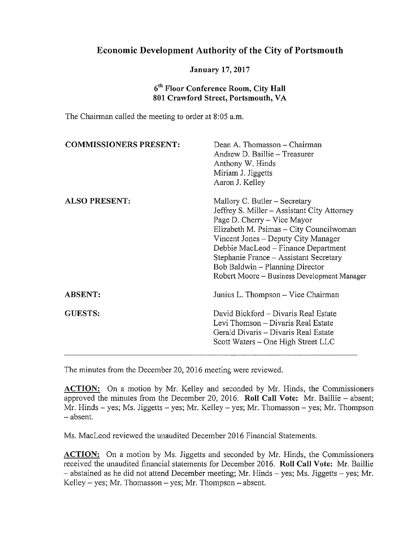## Economic Development Authority of the City of Portsmouth

## January 17, 2017

## 6<sup>th</sup> Floor Conference Room, City Hall 801 Crawford Street, Portsmouth, VA

The Chairman called the meeting to order at 8:05 a.m.

| <b>COMMISSIONERS PRESENT:</b> | Dean A. Thomasson - Chairman<br>Andrew D. Baillie - Treasurer<br>Anthony W. Hinds<br>Miriam J. Jiggetts<br>Aaron J. Kelley                                                                                                                                                                                                                                       |
|-------------------------------|------------------------------------------------------------------------------------------------------------------------------------------------------------------------------------------------------------------------------------------------------------------------------------------------------------------------------------------------------------------|
| <b>ALSO PRESENT:</b>          | Mallory C. Butler – Secretary<br>Jeffrey S. Miller – Assistant City Attorney<br>Page D. Cherry – Vice Mayor<br>Elizabeth M. Psimas – City Councilwoman<br>Vincent Jones – Deputy City Manager<br>Debbie MacLeod – Finance Department<br>Stephanie France – Assistant Secretary<br>Bob Baldwin – Planning Director<br>Robert Moore – Business Development Manager |
| <b>ABSENT:</b>                | Junius L. Thompson - Vice Chairman                                                                                                                                                                                                                                                                                                                               |
| <b>GUESTS:</b>                | David Bickford - Divaris Real Estate<br>Levi Thomson – Divaris Real Estate<br>Gerald Divaris - Divaris Real Estate<br>Scott Waters – One High Street LLC                                                                                                                                                                                                         |

The minutes from the December 20, 2016 meeting were reviewed.

ACTION: On a motion by Mr. Kelley and seconded by Mr. Hinds, the Commissioners approved the minutes from the December 20, 2016. Roll Call Vote: Mr. Baillie — absent; Mr. Hinds — yes; Ms. Jiggetts — yes; Mr. Kelley — yes; Mr. Thomasson — yes; Mr. Thompson — absent.

Ms. MacLeod reviewed the unaudited December 2016 Financial Statements.

ACTION: On a motion by Ms. Jiggetts and seconded by Mr. Hinds, the Commissioners received the unaudited financial statements for December 2016. Roll Call Vote: Mr. Baillie — abstained as he did not attend December meeting; Mr. Hinds — yes; Ms. Jiggetts — yes; Mr. Kelley – yes; Mr. Thomasson – yes; Mr. Thompson – absent.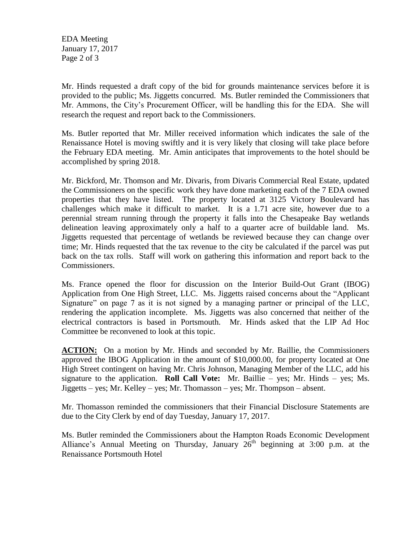EDA Meeting January 17, 2017 Page 2 of 3

Mr. Hinds requested a draft copy of the bid for grounds maintenance services before it is provided to the public; Ms. Jiggetts concurred. Ms. Butler reminded the Commissioners that Mr. Ammons, the City's Procurement Officer, will be handling this for the EDA. She will research the request and report back to the Commissioners.

Ms. Butler reported that Mr. Miller received information which indicates the sale of the Renaissance Hotel is moving swiftly and it is very likely that closing will take place before the February EDA meeting. Mr. Amin anticipates that improvements to the hotel should be accomplished by spring 2018.

Mr. Bickford, Mr. Thomson and Mr. Divaris, from Divaris Commercial Real Estate, updated the Commissioners on the specific work they have done marketing each of the 7 EDA owned properties that they have listed. The property located at 3125 Victory Boulevard has challenges which make it difficult to market. It is a 1.71 acre site, however due to a perennial stream running through the property it falls into the Chesapeake Bay wetlands delineation leaving approximately only a half to a quarter acre of buildable land. Ms. Jiggetts requested that percentage of wetlands be reviewed because they can change over time; Mr. Hinds requested that the tax revenue to the city be calculated if the parcel was put back on the tax rolls. Staff will work on gathering this information and report back to the Commissioners.

Ms. France opened the floor for discussion on the Interior Build-Out Grant (IBOG) Application from One High Street, LLC. Ms. Jiggetts raised concerns about the "Applicant Signature" on page 7 as it is not signed by a managing partner or principal of the LLC, rendering the application incomplete. Ms. Jiggetts was also concerned that neither of the electrical contractors is based in Portsmouth. Mr. Hinds asked that the LIP Ad Hoc Committee be reconvened to look at this topic.

**ACTION:** On a motion by Mr. Hinds and seconded by Mr. Baillie, the Commissioners approved the IBOG Application in the amount of \$10,000.00, for property located at One High Street contingent on having Mr. Chris Johnson, Managing Member of the LLC, add his signature to the application. **Roll Call Vote:** Mr. Baillie – yes; Mr. Hinds – yes; Ms. Jiggetts – yes; Mr. Kelley – yes; Mr. Thomasson – yes; Mr. Thompson – absent.

Mr. Thomasson reminded the commissioners that their Financial Disclosure Statements are due to the City Clerk by end of day Tuesday, January 17, 2017.

Ms. Butler reminded the Commissioners about the Hampton Roads Economic Development Alliance's Annual Meeting on Thursday, January  $26<sup>th</sup>$  beginning at 3:00 p.m. at the Renaissance Portsmouth Hotel